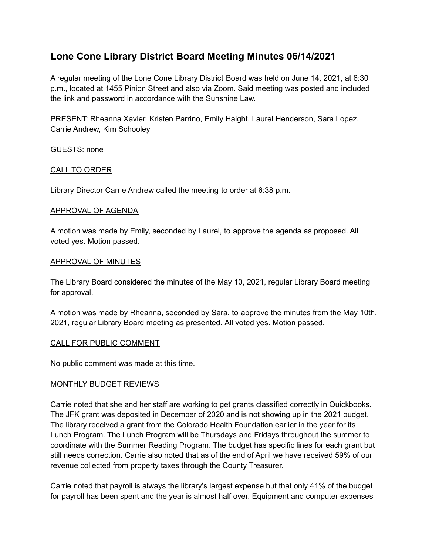# **Lone Cone Library District Board Meeting Minutes 06/14/2021**

A regular meeting of the Lone Cone Library District Board was held on June 14, 2021, at 6:30 p.m., located at 1455 Pinion Street and also via Zoom. Said meeting was posted and included the link and password in accordance with the Sunshine Law.

PRESENT: Rheanna Xavier, Kristen Parrino, Emily Haight, Laurel Henderson, Sara Lopez, Carrie Andrew, Kim Schooley

GUESTS: none

## CALL TO ORDER

Library Director Carrie Andrew called the meeting to order at 6:38 p.m.

#### APPROVAL OF AGENDA

A motion was made by Emily, seconded by Laurel, to approve the agenda as proposed. All voted yes. Motion passed.

#### APPROVAL OF MINUTES

The Library Board considered the minutes of the May 10, 2021, regular Library Board meeting for approval.

A motion was made by Rheanna, seconded by Sara, to approve the minutes from the May 10th, 2021, regular Library Board meeting as presented. All voted yes. Motion passed.

#### CALL FOR PUBLIC COMMENT

No public comment was made at this time.

#### MONTHLY BUDGET REVIEWS

Carrie noted that she and her staff are working to get grants classified correctly in Quickbooks. The JFK grant was deposited in December of 2020 and is not showing up in the 2021 budget. The library received a grant from the Colorado Health Foundation earlier in the year for its Lunch Program. The Lunch Program will be Thursdays and Fridays throughout the summer to coordinate with the Summer Reading Program. The budget has specific lines for each grant but still needs correction. Carrie also noted that as of the end of April we have received 59% of our revenue collected from property taxes through the County Treasurer.

Carrie noted that payroll is always the library's largest expense but that only 41% of the budget for payroll has been spent and the year is almost half over. Equipment and computer expenses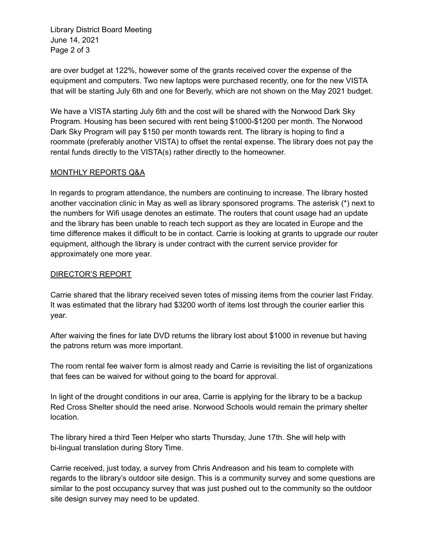Library District Board Meeting June 14, 2021 Page 2 of 3

are over budget at 122%, however some of the grants received cover the expense of the equipment and computers. Two new laptops were purchased recently, one for the new VISTA that will be starting July 6th and one for Beverly, which are not shown on the May 2021 budget.

We have a VISTA starting July 6th and the cost will be shared with the Norwood Dark Sky Program. Housing has been secured with rent being \$1000-\$1200 per month. The Norwood Dark Sky Program will pay \$150 per month towards rent. The library is hoping to find a roommate (preferably another VISTA) to offset the rental expense. The library does not pay the rental funds directly to the VISTA(s) rather directly to the homeowner.

# MONTHLY REPORTS Q&A

In regards to program attendance, the numbers are continuing to increase. The library hosted another vaccination clinic in May as well as library sponsored programs. The asterisk (\*) next to the numbers for Wifi usage denotes an estimate. The routers that count usage had an update and the library has been unable to reach tech support as they are located in Europe and the time difference makes it difficult to be in contact. Carrie is looking at grants to upgrade our router equipment, although the library is under contract with the current service provider for approximately one more year.

## DIRECTOR'S REPORT

Carrie shared that the library received seven totes of missing items from the courier last Friday. It was estimated that the library had \$3200 worth of items lost through the courier earlier this year.

After waiving the fines for late DVD returns the library lost about \$1000 in revenue but having the patrons return was more important.

The room rental fee waiver form is almost ready and Carrie is revisiting the list of organizations that fees can be waived for without going to the board for approval.

In light of the drought conditions in our area, Carrie is applying for the library to be a backup Red Cross Shelter should the need arise. Norwood Schools would remain the primary shelter location.

The library hired a third Teen Helper who starts Thursday, June 17th. She will help with bi-lingual translation during Story Time.

Carrie received, just today, a survey from Chris Andreason and his team to complete with regards to the library's outdoor site design. This is a community survey and some questions are similar to the post occupancy survey that was just pushed out to the community so the outdoor site design survey may need to be updated.